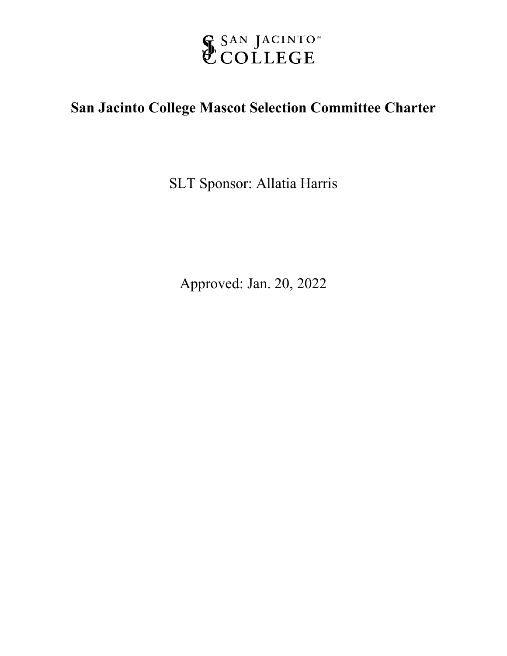

# **San Jacinto College Mascot Selection Committee Charter**

SLT Sponsor: Allatia Harris

Approved: Jan. 20, 2022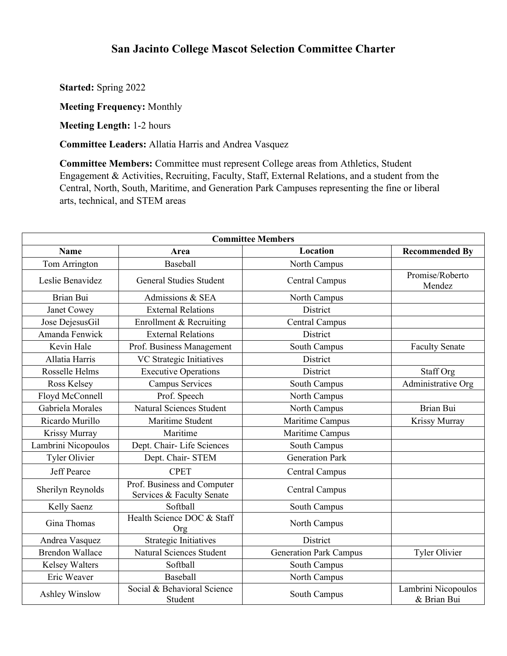# **San Jacinto College Mascot Selection Committee Charter**

**Started:** Spring 2022

**Meeting Frequency:** Monthly

**Meeting Length:** 1-2 hours

**Committee Leaders:** Allatia Harris and Andrea Vasquez

**Committee Members:** Committee must represent College areas from Athletics, Student Engagement & Activities, Recruiting, Faculty, Staff, External Relations, and a student from the Central, North, South, Maritime, and Generation Park Campuses representing the fine or liberal arts, technical, and STEM areas

| <b>Committee Members</b> |                                                          |                               |                                    |
|--------------------------|----------------------------------------------------------|-------------------------------|------------------------------------|
| <b>Name</b>              | Area                                                     | <b>Location</b>               | <b>Recommended By</b>              |
| Tom Arrington            | Baseball                                                 | North Campus                  |                                    |
| Leslie Benavidez         | <b>General Studies Student</b>                           | <b>Central Campus</b>         | Promise/Roberto<br>Mendez          |
| <b>Brian Bui</b>         | Admissions & SEA                                         | North Campus                  |                                    |
| Janet Cowey              | <b>External Relations</b>                                | District                      |                                    |
| Jose DejesusGil          | Enrollment & Recruiting                                  | Central Campus                |                                    |
| Amanda Fenwick           | <b>External Relations</b>                                | District                      |                                    |
| Kevin Hale               | Prof. Business Management                                | South Campus                  | <b>Faculty Senate</b>              |
| Allatia Harris           | VC Strategic Initiatives                                 | District                      |                                    |
| Rosselle Helms           | <b>Executive Operations</b>                              | District                      | Staff Org                          |
| Ross Kelsey              | <b>Campus Services</b>                                   | South Campus                  | Administrative Org                 |
| Floyd McConnell          | Prof. Speech                                             | North Campus                  |                                    |
| Gabriela Morales         | Natural Sciences Student                                 | North Campus                  | Brian Bui                          |
| Ricardo Murillo          | Maritime Student                                         | Maritime Campus               | Krissy Murray                      |
| Krissy Murray            | Maritime                                                 | Maritime Campus               |                                    |
| Lambrini Nicopoulos      | Dept. Chair-Life Sciences                                | South Campus                  |                                    |
| <b>Tyler Olivier</b>     | Dept. Chair-STEM                                         | <b>Generation Park</b>        |                                    |
| <b>Jeff Pearce</b>       | <b>CPET</b>                                              | <b>Central Campus</b>         |                                    |
| Sherilyn Reynolds        | Prof. Business and Computer<br>Services & Faculty Senate | Central Campus                |                                    |
| Kelly Saenz              | Softball                                                 | South Campus                  |                                    |
| Gina Thomas              | Health Science DOC & Staff<br>Org                        | North Campus                  |                                    |
| Andrea Vasquez           | <b>Strategic Initiatives</b>                             | District                      |                                    |
| <b>Brendon Wallace</b>   | Natural Sciences Student                                 | <b>Generation Park Campus</b> | Tyler Olivier                      |
| <b>Kelsey Walters</b>    | Softball                                                 | South Campus                  |                                    |
| Eric Weaver              | Baseball                                                 | North Campus                  |                                    |
| Ashley Winslow           | Social & Behavioral Science<br>Student                   | South Campus                  | Lambrini Nicopoulos<br>& Brian Bui |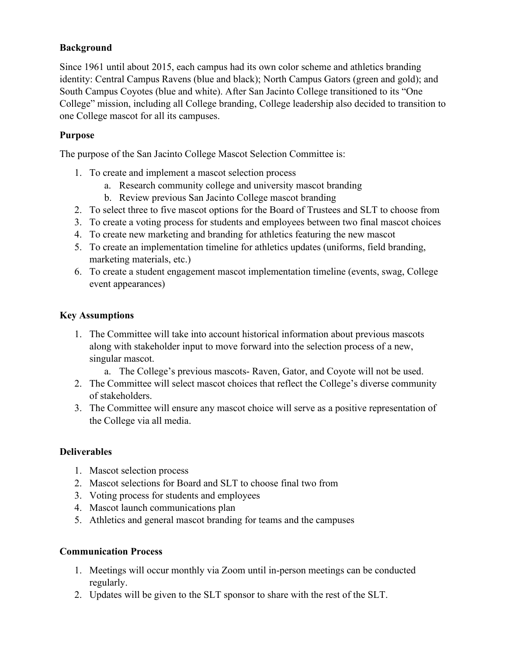## **Background**

Since 1961 until about 2015, each campus had its own color scheme and athletics branding identity: Central Campus Ravens (blue and black); North Campus Gators (green and gold); and South Campus Coyotes (blue and white). After San Jacinto College transitioned to its "One College" mission, including all College branding, College leadership also decided to transition to one College mascot for all its campuses.

#### **Purpose**

The purpose of the San Jacinto College Mascot Selection Committee is:

- 1. To create and implement a mascot selection process
	- a. Research community college and university mascot branding
	- b. Review previous San Jacinto College mascot branding
- 2. To select three to five mascot options for the Board of Trustees and SLT to choose from
- 3. To create a voting process for students and employees between two final mascot choices
- 4. To create new marketing and branding for athletics featuring the new mascot
- 5. To create an implementation timeline for athletics updates (uniforms, field branding, marketing materials, etc.)
- 6. To create a student engagement mascot implementation timeline (events, swag, College event appearances)

## **Key Assumptions**

- 1. The Committee will take into account historical information about previous mascots along with stakeholder input to move forward into the selection process of a new, singular mascot.
	- a. The College's previous mascots- Raven, Gator, and Coyote will not be used.
- 2. The Committee will select mascot choices that reflect the College's diverse community of stakeholders.
- 3. The Committee will ensure any mascot choice will serve as a positive representation of the College via all media.

#### **Deliverables**

- 1. Mascot selection process
- 2. Mascot selections for Board and SLT to choose final two from
- 3. Voting process for students and employees
- 4. Mascot launch communications plan
- 5. Athletics and general mascot branding for teams and the campuses

#### **Communication Process**

- 1. Meetings will occur monthly via Zoom until in-person meetings can be conducted regularly.
- 2. Updates will be given to the SLT sponsor to share with the rest of the SLT.